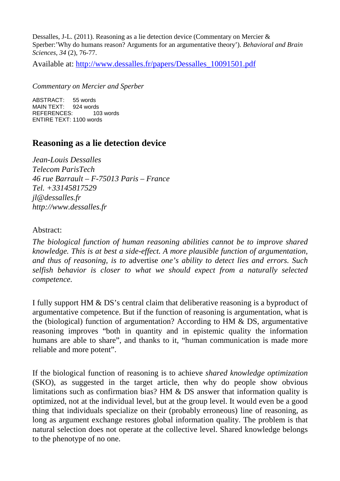Dessalles, J-L. (2011). Reasoning as a lie detection device (Commentary on Mercier & Sperber:'Why do humans reason? Arguments for an argumentative theory'). *Behavioral and Brain Sciences*, *34* (2), 76-77.

Available at: http://www.dessalles.fr/papers/Dessalles\_10091501.pdf

*Commentary on Mercier and Sperber* 

ABSTRACT: 55 words MAIN TEXT: 924 words REFERENCES: 103 words ENTIRE TEXT: 1100 words

## **Reasoning as a lie detection device**

*Jean-Louis Dessalles Telecom ParisTech 46 rue Barrault – F-75013 Paris – France Tel. +33145817529 jl@dessalles.fr http://www.dessalles.fr* 

## Abstract:

*The biological function of human reasoning abilities cannot be to improve shared knowledge. This is at best a side-effect. A more plausible function of argumentation, and thus of reasoning, is to* advertise *one's ability to detect lies and errors. Such selfish behavior is closer to what we should expect from a naturally selected competence.* 

I fully support HM & DS's central claim that deliberative reasoning is a byproduct of argumentative competence. But if the function of reasoning is argumentation, what is the (biological) function of argumentation? According to HM & DS, argumentative reasoning improves "both in quantity and in epistemic quality the information humans are able to share", and thanks to it, "human communication is made more reliable and more potent".

If the biological function of reasoning is to achieve *shared knowledge optimization* (SKO), as suggested in the target article, then why do people show obvious limitations such as confirmation bias? HM & DS answer that information quality is optimized, not at the individual level, but at the group level. It would even be a good thing that individuals specialize on their (probably erroneous) line of reasoning, as long as argument exchange restores global information quality. The problem is that natural selection does not operate at the collective level. Shared knowledge belongs to the phenotype of no one.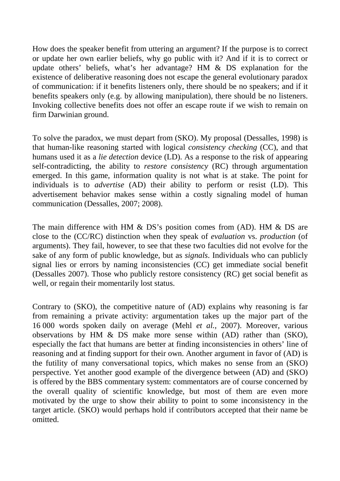How does the speaker benefit from uttering an argument? If the purpose is to correct or update her own earlier beliefs, why go public with it? And if it is to correct or update others' beliefs, what's her advantage? HM & DS explanation for the existence of deliberative reasoning does not escape the general evolutionary paradox of communication: if it benefits listeners only, there should be no speakers; and if it benefits speakers only (e.g. by allowing manipulation), there should be no listeners. Invoking collective benefits does not offer an escape route if we wish to remain on firm Darwinian ground.

To solve the paradox, we must depart from (SKO). My proposal (Dessalles, 1998) is that human-like reasoning started with logical *consistency checking* (CC), and that humans used it as a *lie detection* device (LD). As a response to the risk of appearing self-contradicting, the ability to *restore consistency* (RC) through argumentation emerged. In this game, information quality is not what is at stake. The point for individuals is to *advertise* (AD) their ability to perform or resist (LD). This advertisement behavior makes sense within a costly signaling model of human communication (Dessalles, 2007; 2008).

The main difference with HM & DS's position comes from (AD). HM & DS are close to the (CC/RC) distinction when they speak of *evaluation* vs. *production* (of arguments). They fail, however, to see that these two faculties did not evolve for the sake of any form of public knowledge, but as *signals*. Individuals who can publicly signal lies or errors by naming inconsistencies (CC) get immediate social benefit (Dessalles 2007). Those who publicly restore consistency (RC) get social benefit as well, or regain their momentarily lost status.

Contrary to (SKO), the competitive nature of (AD) explains why reasoning is far from remaining a private activity: argumentation takes up the major part of the 16 000 words spoken daily on average (Mehl *et al.*, 2007). Moreover, various observations by HM & DS make more sense within (AD) rather than (SKO), especially the fact that humans are better at finding inconsistencies in others' line of reasoning and at finding support for their own. Another argument in favor of (AD) is the futility of many conversational topics, which makes no sense from an (SKO) perspective. Yet another good example of the divergence between (AD) and (SKO) is offered by the BBS commentary system: commentators are of course concerned by the overall quality of scientific knowledge, but most of them are even more motivated by the urge to show their ability to point to some inconsistency in the target article. (SKO) would perhaps hold if contributors accepted that their name be omitted.